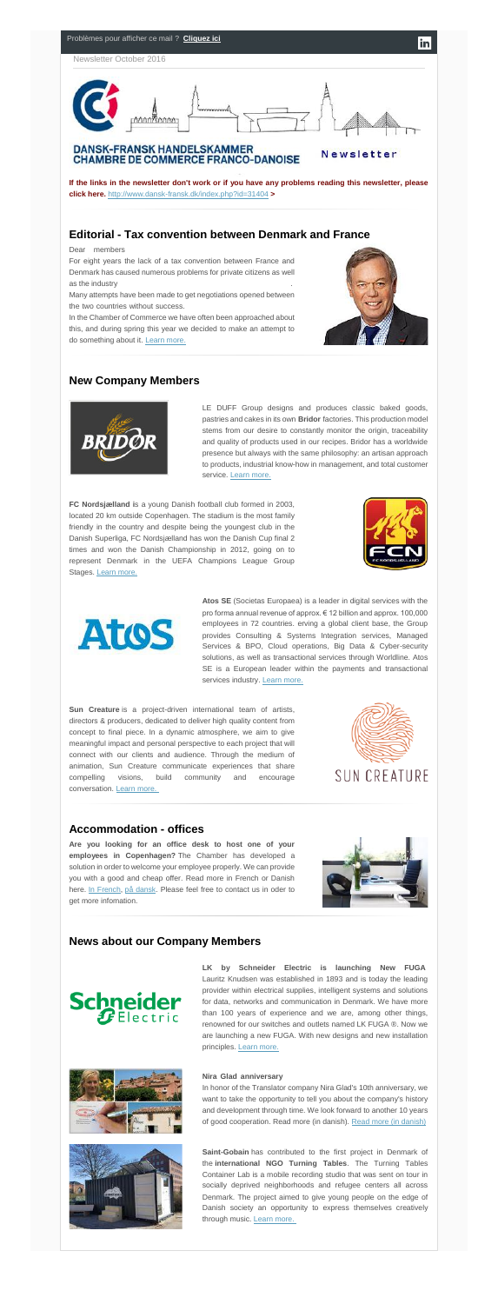

**If the links in the newsletter don't work or if you have any problems reading this newsletter, please click here.** <http://www.dansk-fransk.dk/index.php?id=31404> **>**

Many attempts have been made to get negotiations opened between the two countries without success.

## **Editorial - Tax convention between Denmark and France**

Dear members

In the Chamber of Commerce we have often been approached about this, and during spring this year we decided to make an attempt to do something about it. [Learn more.](http://www.dansk-fransk.dk/index.php?id=31475)



LE DUFF Group designs and produces classic baked goods, pastries and cakes in its own **Bridor** factories. This production model stems from our desire to constantly monitor the origin, traceability and quality of products used in our recipes. Bridor has a worldwide presence but always with the same philosophy: an artisan approach to products, industrial know-how in management, and total customer service. [Learn more.](http://www.dansk-fransk.dk/index.php?id=31405)

For eight years the lack of a tax convention between France and Denmark has caused numerous problems for private citizens as well as the industry…………………………………………………………….

**FC Nordsjælland i**s a young Danish football club formed in 2003, located 20 km outside Copenhagen. The stadium is the most family friendly in the country and despite being the youngest club in the Danish Superliga, FC Nordsjælland has won the Danish Cup final 2 times and won the Danish Championship in 2012, going on to represent Denmark in the UEFA Champions League Group Stages. [Learn more.](http://www.dansk-fransk.dk/index.php?id=31408)





### **New Company Members**



**Atos SE** (Societas Europaea) is a leader in digital services with the pro forma annual revenue of approx. € 12 billion and approx. 100,000 employees in 72 countries. erving a global client base, the Group provides Consulting & Systems Integration services, Managed Services & BPO, Cloud operations, Big Data & Cyber-security solutions, as well as transactional services through Worldline. Atos SE is a European leader within the payments and transactional services industry. [Learn more.](http://www.dansk-fransk.dk/index.php?id=31409)

**Sun Creature** is a project-driven international team of artists, directors & producers, dedicated to deliver high quality content from concept to final piece. In a dynamic atmosphere, we aim to give meaningful impact and personal perspective to each project that will connect with our clients and audience. Through the medium of animation, Sun Creature communicate experiences that share compelling visions, build community and encourage conversation. [Learn more.](http://www.suncreature.com/)



**LK by Schneider Electric is launching New FUGA** Lauritz Knudsen was established in 1893 and is today the leading provider within electrical supplies, intelligent systems and solutions for data, networks and communication in Denmark. We have more than 100 years of experience and we are, among other things, renowned for our switches and outlets named LK FUGA ®. Now we are launching a new FUGA. With new designs and new installation principles. [Learn more.](http://www.dansk-fransk.dk/dk/single-news-dk/n/lk-by-schneider-electric-is-launching-new-fuga-1/)





In honor of the Translator company Nira Glad's 10th anniversary, we want to take the opportunity to tell you about the company's history and development through time. We look forward to another 10 years of good cooperation. [Read more \(in danish\)](http://www.dansk-fransk.dk/fileadmin/template/danemark/uploads/10_aars_jubilaeum_kopi.jpg). Read more (in danish)

**Saint-Gobain** has contributed to the first project in Denmark of the **international NGO Turning Tables**. The Turning Tables Container Lab is a mobile recording studio that was sent on tour in socially deprived neighborhoods and refugee centers all across Denmark. The project aimed to give young people on the edge of Danish society an opportunity to express themselves creatively through music. [Learn more.](http://www.dansk-fransk.dk/index.php?id=31568)

### **Accommodation - offices**

**Are you looking for an office desk to host one of your employees in Copenhagen?** The Chamber has developed a solution in order to welcome your employee properly. We can provide you with a good and cheap offer. Read more in French or Danish here. [In French,](http://www.dansk-fransk.dk/services-aux-entreprises/hebergement-bureaux/) [på dansk.](http://www.dansk-fransk.dk/dk/service-til-virksomheder/indlogering-i-danmark/) Please feel free to contact us in oder to get more infomation.



#### **News about our Company Members**

# **Schneider**  $\boldsymbol{\mathcal{G}}$  Electric

#### **Nira Glad anniversary**…………………………………………………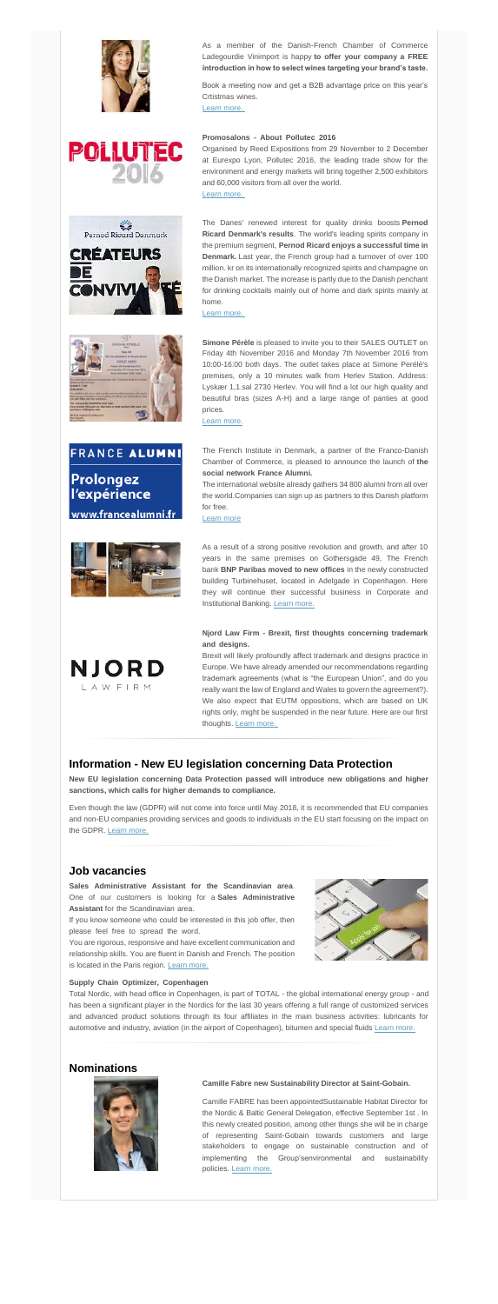













As a member of the Danish-French Chamber of Commerce Ladegourdie Vinimport is happy **to offer your company a FREE introduction in how to select wines targeting your brand's taste.**

Organised by Reed Expositions from 29 November to 2 December at Eurexpo Lyon, Pollutec 2016, the leading trade show for the environment and energy markets will bring together 2,500 exhibitors and 60,000 visitors from all over the world.

Book a meeting now and get a B2B advantage price on this year's Crtistmas wines. …………………………………………………………

[Learn more.](http://www.dansk-fransk.dk/single-news/n/ladegourdie-vinimport/)

#### **Promosalons - About Pollutec 2016**………………………………

[Learn more.](http://www.dansk-fransk.dk/dk/single-news-dk/n/promosalons-about-pollutec-2016-1/)

The French Institute in Denmark, a partner of the Franco-Danish Chamber of Commerce, is pleased to announce the launch of **the**  social network France Alumni.

The international website already gathers 34 800 alumni from all over the world.Companies can sign up as partners to this Danish platform for free.

The Danes' renewed interest for quality drinks boosts **Pernod Ricard Denmark's results**. The world's leading spirits company in the premium segment, **Pernod Ricard enjoys a successful time in Denmark.** Last year, the French group had a turnover of over 100 million. kr on its internationally recognized spirits and champagne on the Danish market. The increase is partly due to the Danish penchant for drinking cocktails mainly out of home and dark spirits mainly at home.

[Learn more.](http://www.dansk-fransk.dk/single-news/n/the-renewed-interest-by-danes-for-quality-drinks-boosts-pernod-ricard-denmark-results/)

Brexit will likely profoundly affect trademark and designs practice in Europe. We have already amended our recommendations regarding trademark agreements (what is "the European Union", and do you really want the law of England and Wales to govern the agreement?). We also expect that EUTM oppositions, which are based on UK rights only, might be suspended in the near future. Here are our first thoughts. [Learn more.](http://njordlaw.com/brexit-first-thoughts-concerning-trademark-designs/)

**Simone Pérèle** is pleased to invite you to their SALES OUTLET on Friday 4th November 2016 and Monday 7th November 2016 from 10:00-16:00 both days. The outlet takes place at Simone Perélè's premises, only a 10 minutes walk from Herlev Station. Address: Lyskær 1,1.sal 2730 Herlev. You will find a lot our high quality and beautiful bras (sizes A-H) and a large range of panties at good prices.

[Learn more.](http://www.dansk-fransk.dk/fileadmin/template/danemark/docs/Warehouse_outlet_November_2016.pdf)

**Sales Administrative Assistant for the Scandinavian area**. One of our customers is looking for a **Sales Administrative Assistant** for the Scandinavian area.

If you know someone who could be interested in this job offer, then please feel free to spread the word.

You are rigorous, responsive and have excellent communication and relationship skills. You are fluent in Danish and French. The position is located in the Paris region. [Learn more.](http://www.dansk-fransk.dk/index.php?id=31476)



[Learn more](http://www.dansk-fransk.dk/single-news/n/the-social-network-france-alumni/)

Total Nordic, with head office in Copenhagen, is part of TOTAL - the global international energy group - and has been a significant player in the Nordics for the last 30 years offering a full range of customized services and advanced product solutions through its four affiliates in the main business activities: lubricants for automotive and industry, aviation (in the airport of Copenhagen), bitumen and special fluids [Learn more.](http://www.dansk-fransk.dk/index.php?id=31635)

As a result of a strong positive revolution and growth, and after 10 years in the same premises on Gothersgade 49, The French bank **BNP Paribas moved to new offices** in the newly constructed building Turbinehuset, located in Adelgade in Copenhagen. Here they will continue their successful business in Corporate and Institutional Banking. [Learn more.](http://www.dansk-fransk.dk/index.php?id=8336&no_cache=1&tx_news_pi1%5Bcontroller%5D=News&tx_news_pi1%5Baction%5D=detail&tx_news_pi1%5Bnews_preview%5D=46136)

Camille FABRE has been appointedSustainable Habitat Director for the Nordic & Baltic General Delegation, effective September 1st . In this newly created position, among other things she will be in charge of representing Saint-Gobain towards customers and large stakeholders to engage on sustainable construction and of implementing the Group'senvironmental and sustainability policies. [Learn more.](http://www.dansk-fransk.dk/index.php?id=31569)

#### **Njord Law Firm - Brexit, first thoughts concerning trademark and designs.** ……………………………………………………………

### **Information - New EU legislation concerning Data Protection**

**New EU legislation concerning Data Protection passed will introduce new obligations and higher sanctions, which calls for higher demands to compliance.**

Even though the law (GDPR) will not come into force until May 2018, it is recommended that EU companies and non-EU companies providing services and goods to individuals in the EU start focusing on the impact on the GDPR. [Learn more.](http://www.dansk-fransk.dk/index.php?id=31714)

### **Job vacancies**

#### **Supply Chain Optimizer, Copenhagen**……………………………………………………………………………

### **Nominations**



#### **Camille Fabre new Sustainability Director at Saint-Gobain.**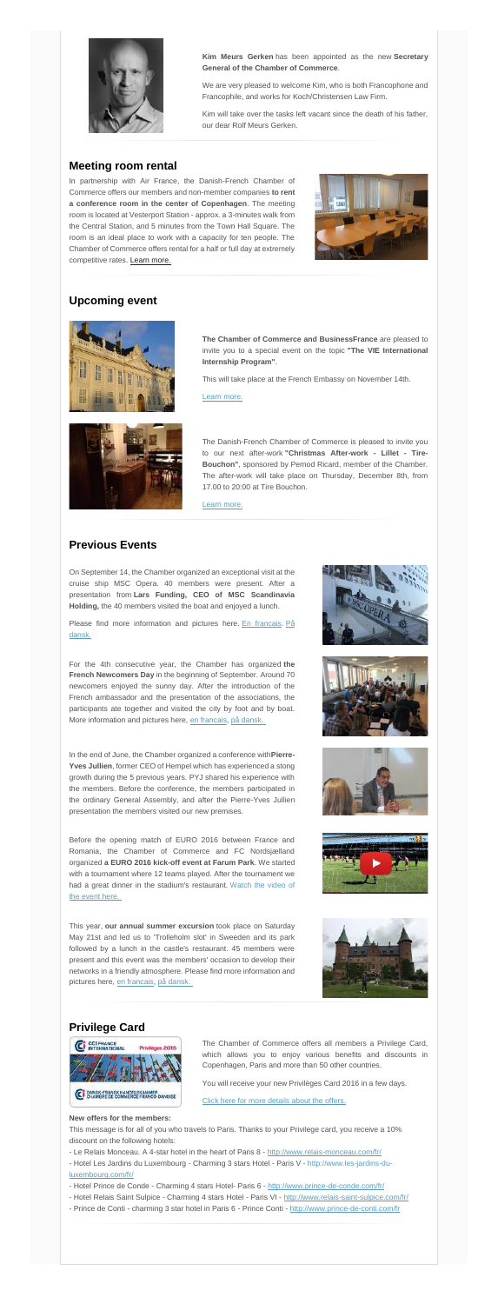

**Kim Meurs Gerken** has been appointed as the new **Secretary General of the Chamber of Commerce**.

We are very pleased to welcome Kim, who is both Francophone and Francophile, and works for Koch/Christensen Law Firm.

Kim will take over the tasks left vacant since the death of his father, our dear Rolf Meurs Gerken.

#### **Meeting room rental**

In partnership with Air France, the Danish-French Chamber of Commerce offers our members and non-member companies **to rent a conference room in the center of Copenhagen**. The meeting room is located at Vesterport Station - approx. a 3-minutes walk from the Central Station, and 5 minutes from the Town Hall Square. The room is an ideal place to work with a capacity for ten people. The Chamber of Commerce offers rental for a half or full day at extremely competitive rates. [Learn more.](http://www.dansk-fransk.dk/services-aux-entreprises/location-salle-de-reunion/)



#### **Upcoming event**



Please find more information and pictures here. [En francais.](http://www.dansk-fransk.dk/index.php?id=31542&L=0) På [dansk.](http://www.dansk-fransk.dk/index.php?id=31542&L=15)

**The Chamber of Commerce and BusinessFrance** are pleased to invite you to a special event on the topic **"The VIE International Internship Program"**.

This will take place at the French Embassy on November 14th.

[Learn more.](http://www.dansk-fransk.dk/actualite/evenements/vue-detail/d/the-vie-international-internship-program-at-the-french-embassy/)



The Danish-French Chamber of Commerce is pleased to invite you to our next after-work **"Christmas After-work - Lillet - Tire-Bouchon"**, sponsored by Pernod Ricard, member of the Chamber. The after-work will take place on Thursday, December 8th, from 17.00 to 20:00 at Tire Bouchon.

[Learn more.](http://www.dansk-fransk.dk/actualite/evenements/vue-detail/d/christmas-after-work-lillet-tire-bouchon/)

#### **Previous Events**

On September 14, the Chamber organized an exceptional visit at the cruise ship MSC Opera. 40 members were present. After a presentation from **Lars Funding, CEO of MSC Scandinavia Holding,** the 40 members visited the boat and enjoyed a lunch.

For the 4th consecutive year, the Chamber has organized **the French Newcomers Day** in the beginning of September. Around 70 newcomers enjoyed the sunny day. After the introduction of the French ambassador and the presentation of the associations, the participants ate together and visited the city by foot and by boat. More information and pictures here, [en francais,](http://www.dansk-fransk.dk/index.php?id=31025&L=0) [på dansk.](http://www.dansk-fransk.dk/index.php?id=31025&L=15)





- Le Relais Monceau. A 4-star hotel in the heart of Paris 8 <http://www.relais-monceau.com/fr/>
- Hotel Les Jardins du Luxembourg Charming 3 stars Hotel Paris V [http://www.les-jardins-du](http://www.les-jardins-du-luxembourg.com/fr/)[luxembourg.com/fr/](http://www.les-jardins-du-luxembourg.com/fr/)
- Hotel Prince de Conde Charming 4 stars Hotel- Paris 6 <http://www.prince-de-conde.com/fr/>
- Hotel Relais Saint Sulpice Charming 4 stars Hotel Paris VI <http://www.relais-saint-sulpice.com/fr/>
- Prince de Conti charming 3 star hotel in Paris 6 Prince Conti <http://www.prince-de-conti.com/fr>

In the end of June, the Chamber organized a conference with**Pierre-Yves Jullien**, former CEO of Hempel which has experienced a stong growth during the 5 previous years. PYJ shared his experience with the members. Before the conference, the members participated in the ordinary General Assembly, and after the Pierre-Yves Jullien presentation the members visited our new premises.



Before the opening match of EURO 2016 between France and Romania, the Chamber of Commerce and FC Nordsjælland organized **a EURO 2016 kick-off event at Farum Park**. We started with a tournament where 12 teams played. After the tournament we had a great dinner in the stadium's restaurant. Watch the video of [the event here.](http://www.dansk-fransk.dk/index.php?id=30196&L=0)

This year, **our annual summer excursion** took place on Saturday May 21st and led us to 'Trolleholm slot' in Sweeden and its park followed by a lunch in the castle's restaurant. 45 members were present and this event was the members' occasion to develop their networks in a friendly atmosphere. Please find more information and pictures here, [en francais,](http://www.dansk-fransk.dk/index.php?id=31545&L=0) [på dansk.](http://www.dansk-fransk.dk/index.php?id=31545&L=15)



### **Privilege Card**



The Chamber of Commerce offers all members a Privilege Card, which allows you to enjoy various benefits and discounts in Copenhagen, Paris and more than 50 other countries.

You will receive your new Privilèges Card 2016 in a few days.

[Click here for more details about the offers.](http://www.dansk-fransk.dk/index.php?id=8332)

#### **New offers for the members:**

This message is for all of you who travels to Paris. Thanks to your Privilege card, you receive a 10% discount on the following hotels: